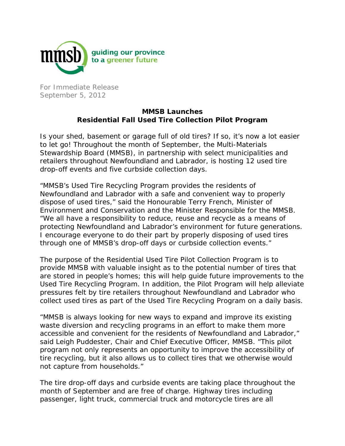

For Immediate Release September 5, 2012

## **MMSB Launches Residential Fall Used Tire Collection Pilot Program**

Is your shed, basement or garage full of old tires? If so, it's now a lot easier to let go! Throughout the month of September, the Multi-Materials Stewardship Board (MMSB), in partnership with select municipalities and retailers throughout Newfoundland and Labrador, is hosting 12 used tire drop-off events and five curbside collection days.

"MMSB's Used Tire Recycling Program provides the residents of Newfoundland and Labrador with a safe and convenient way to properly dispose of used tires," said the Honourable Terry French, Minister of Environment and Conservation and the Minister Responsible for the MMSB. "We all have a responsibility to reduce, reuse and recycle as a means of protecting Newfoundland and Labrador's environment for future generations. I encourage everyone to do their part by properly disposing of used tires through one of MMSB's drop-off days or curbside collection events."

The purpose of the Residential Used Tire Pilot Collection Program is to provide MMSB with valuable insight as to the potential number of tires that are stored in people's homes; this will help guide future improvements to the Used Tire Recycling Program. In addition, the Pilot Program will help alleviate pressures felt by tire retailers throughout Newfoundland and Labrador who collect used tires as part of the Used Tire Recycling Program on a daily basis.

"MMSB is always looking for new ways to expand and improve its existing waste diversion and recycling programs in an effort to make them more accessible and convenient for the residents of Newfoundland and Labrador," said Leigh Puddester, Chair and Chief Executive Officer, MMSB. "This pilot program not only represents an opportunity to improve the accessibility of tire recycling, but it also allows us to collect tires that we otherwise would not capture from households."

The tire drop-off days and curbside events are taking place throughout the month of September and are free of charge. Highway tires including passenger, light truck, commercial truck and motorcycle tires are all